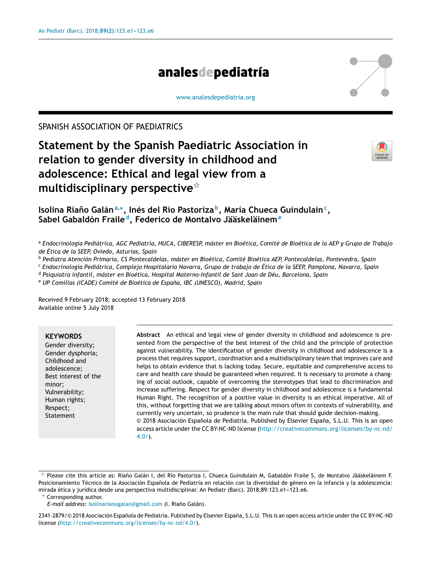# analesdepediatría



[www.analesdepediatria.org](http://www.analesdepediatria.org)

SPANISH ASSOCIATION OF PAEDIATRICS

# **Statement by the Spanish Paediatric Association in relation to gender diversity in childhood and adolescence: Ethical and legal view from a multidisciplinary perspective**-



# **Isolina Riano˜ Galán<sup>a</sup>**,<sup>∗</sup> **, Inés del Río Pastoriza <sup>b</sup> , María Chueca Guindulain<sup>c</sup> , Sabel Gabaldón Fraile <sup>d</sup> , Federico de Montalvo Jääskeläinem<sup>e</sup>**

a Endocrinología Pediátrica, AGC Pediatría, HUCA, CIBERESP, máster en Bioética, Comité de Bioética de la AEP y Grupo de Trabajo *de Ética de la SEEP, Oviedo, Asturias, Spain*

<sup>b</sup> *Pediatra Atención Primaria, CS Pontecaldelas, máster en Bioética, Comité Bioética AEP, Pontecaldelas, Pontevedra, Spain*

<sup>c</sup> Endocrinología Pediátrica, Complejo Hospitalario Navarra, Grupo de trabajo de Ética de la SEEP, Pamplona, Navarra, Spain

<sup>d</sup> *Psiquiatra infantil, máster en Bioética, Hospital Materno-Infantil de Sant Joan de Déu, Barcelona, Spain*

<sup>e</sup> *UP Comillas (ICADE) Comité de Bioética de Espana, ˜ IBC (UNESCO), Madrid, Spain*

Received 9 February 2018; accepted 13 February 2018 Available online 5 July 2018

#### **KEYWORDS**

Gender diversity; Gender dysphoria; Childhood and adolescence; Best interest of the minor; Vulnerability; Human rights; Respect; Statement

**Abstract** An ethical and legal view of gender diversity in childhood and adolescence is presented from the perspective of the best interest of the child and the principle of protection against vulnerability. The identification of gender diversity in childhood and adolescence is a process that requires support, coordination and a multidisciplinary team that improves care and helps to obtain evidence that is lacking today. Secure, equitable and comprehensive access to care and health care should be guaranteed when required. It is necessary to promote a changing of social outlook, capable of overcoming the stereotypes that lead to discrimination and increase suffering. Respect for gender diversity in childhood and adolescence is a fundamental Human Right. The recognition of a positive value in diversity is an ethical imperative. All of this, without forgetting that we are talking about minors often in contexts of vulnerability, and currently very uncertain, so prudence is the main rule that should guide decision-making. © 2018 Asociación Española de Pediatría. Published by Elsevier España, S.L.U. This is an open access article under the CC BY-NC-ND license ([http://creativecommons.org/licenses/by-nc-nd/](http://creativecommons.org/licenses/by-nc-nd/4.0/) [4.0/](http://creativecommons.org/licenses/by-nc-nd/4.0/)).

<sup>∗</sup> Corresponding author.

 $^{\star}$  Please cite this article as: Riaño Galán I, del Río Pastoriza I, Chueca Guindulain M, Gabaldón Fraile S, de Montalvo Jääskeläinem F. Posicionamiento Técnico de la Asociación Española de Pediatría en relación con la diversidad de género en la infancia y la adolescencia: mirada ética y jurídica desde una perspectiva multidisciplinar. An Pediatr (Barc). 2018;89:123.e1-123.e6.

*E-mail address:* [isolinarianogalan@gmail.com](mailto:isolinarianogalan@gmail.com) (I. Riano˜ Galán).

<sup>2341-2879/© 2018</sup> Asociación Española de Pediatría. Published by Elsevier España, S.L.U. This is an open access article under the CC BY-NC-ND license (<http://creativecommons.org/licenses/by-nc-nd/4.0/>).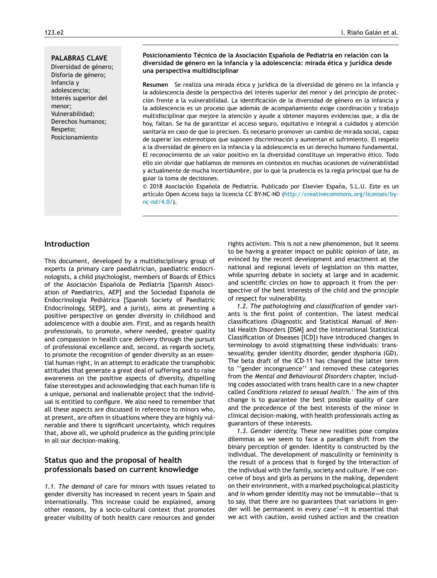**PALABRAS CLAVE**

Diversidad de género; Disforia de género; Infancia y adolescencia; Interés superior del menor; Vulnerabilidad; Derechos humanos; Respeto; Posicionamiento

#### **Posicionamiento Técnico de la Asociación Espanola ˜ de Pediatría en relación con la diversidad de género en la infancia y la adolescencia: mirada ética y jurídica desde una perspectiva multidisciplinar**

**Resumen** Se realiza una mirada ética y jurídica de la diversidad de género en la infancia y la adolescencia desde la perspectiva del interés superior del menor y del principio de protección frente a la vulnerabilidad. La identificación de la diversidad de género en la infancia y la adolescencia es un proceso que además de acompañamiento exige coordinación y trabajo multidisciplinar que mejore la atención y ayude a obtener mayores evidencias que, a día de hoy, faltan. Se ha de garantizar el acceso seguro, equitativo e integral a cuidados y atención sanitaria en caso de que lo precisen. Es necesario promover un cambio de mirada social, capaz de superar los estereotipos que suponen discriminación y aumentan el sufrimiento. El respeto a la diversidad de género en la infancia y la adolescencia es un derecho humano fundamental. El reconocimiento de un valor positivo en la diversidad constituye un imperativo ético. Todo ello sin olvidar que hablamos de menores en contextos en muchas ocasiones de vulnerabilidad y actualmente de mucha incertidumbre, por lo que la prudencia es la regla principal que ha de guiar la toma de decisiones.

 $© 2018 Asociación Española de Pediatría. Publicado por Elsevier España, S.L.U. Este es un$ artículo Open Access bajo la licencia CC BY-NC-ND ([http://creativecommons.org/licenses/by](http://creativecommons.org/licenses/by-nc-nd/4.0/)[nc-nd/4.0/\)](http://creativecommons.org/licenses/by-nc-nd/4.0/).

### **Introduction**

This document, developed by a multidisciplinary group of experts (a primary care paediatrician, paediatric endocrinologists, a child psychologist, members of Boards of Ethics of the Asociación Española de Pediatría [Spanish Association of Paediatrics, AEP] and the Sociedad Española de Endocrinología Pediátrica [Spanish Society of Paediatric Endocrinology, SEEP], and a jurist), aims at presenting a positive perspective on gender diversity in childhood and adolescence with a double aim. First, and as regards health professionals, to promote, where needed, greater quality and compassion in health care delivery through the pursuit of professional excellence and, second, as regards society, to promote the recognition of gender diversity as an essential human right, in an attempt to eradicate the transphobic attitudes that generate a great deal of suffering and to raise awareness on the positive aspects of diversity, dispelling false stereotypes and acknowledging that each human life is a unique, personal and inalienable project that the individual is entitled to configure. We also need to remember that all these aspects are discussed in reference to minors who, at present, are often in situations where they are highly vulnerable and there is significant uncertainty, which requires that, above all, we uphold prudence as the guiding principle in all our decision-making.

# **Status quo and the proposal of health professionals based on current knowledge**

*1.1. The demand* of care for minors with issues related to gender diversity has increased in recent years in Spain and internationally. This increase could be explained, among other reasons, by a socio-cultural context that promotes greater visibility of both health care resources and gender

rights activism. This is not a new phenomenon, but it seems to be having a greater impact on public opinion of late, as evinced by the recent development and enactment at the national and regional levels of legislation on this matter, while spurring debate in society at large and in academic and scientific circles on how to approach it from the perspective of the best interests of the child and the principle of respect for vulnerability.

*1.2. The pathologising and classification* of gender variants is the first point of contention. The latest medical classifications (Diagnostic and Statistical Manual of Mental Health Disorders [DSM] and the International Statistical Classification of Diseases [ICD]) have introduced changes in terminology to avoid stigmatising these individuals: transsexuality, gender identity disorder, gender dysphoria (GD). The beta draft of the ICD-11 has changed the latter term to ''gender incongruence'' and removed these categories from the *Mental and Behavioural Disorders* chapter, including codes associated with trans health care in a new chapter called *Conditions related to sexual health*. [1](#page-5-0) The aim of this change is to guarantee the best possible quality of care and the precedence of the best interests of the minor in clinical decision-making, with health professionals acting as guarantors of these interests.

*1.3. Gender identity.* These new realities pose complex dilemmas as we seem to face a paradigm shift from the binary perception of gender. Identity is constructed by the individual. The development of masculinity or femininity is the result of a process that is forged by the interaction of the individual with the family, society and culture. If we conceive of boys and girls as persons in the making, dependent on their environment, with a marked psychological plasticity and in whom gender identity may not be immutable-that is to say, that there are no guarantees that variations in gender will be permanent in every case<sup>2</sup>-it is essential that we act with caution, avoid rushed action and the creation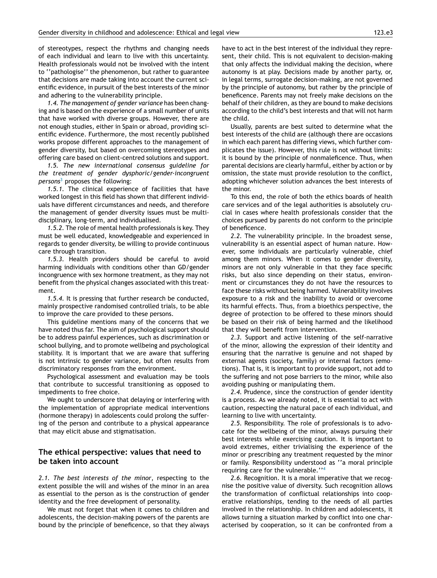of stereotypes, respect the rhythms and changing needs of each individual and learn to live with this uncertainty. Health professionals would not be involved with the intent to ''pathologise'' the phenomenon, but rather to guarantee that decisions are made taking into account the current scientific evidence, in pursuit of the best interests of the minor and adhering to the vulnerability principle.

*1.4. The management of gender variance* has been changing and is based on the experience of a small number of units that have worked with diverse groups. However, there are not enough studies, either in Spain or abroad, providing scientific evidence. Furthermore, the most recently published works propose different approaches to the management of gender diversity, but based on overcoming stereotypes and offering care based on client-centred solutions and support.

*1.5. The new international consensus guideline for the treatment of gender dysphoric/gender-incongruent persons*<sup>3</sup> [p](#page-5-0)roposes the following:

*1.5.1.* The clinical experience of facilities that have worked longest in this field has shown that different individuals have different circumstances and needs, and therefore the management of gender diversity issues must be multidisciplinary, long-term, and individualised.

*1.5.2.* The role of mental health professionals is key. They must be well educated, knowledgeable and experienced in regards to gender diversity, be willing to provide continuous care through transition.

*1.5.3.* Health providers should be careful to avoid harming individuals with conditions other than GD/gender incongruence with sex hormone treatment, as they may not benefit from the physical changes associated with this treatment.

*1.5.4.* It is pressing that further research be conducted, mainly prospective randomised controlled trials, to be able to improve the care provided to these persons.

This guideline mentions many of the concerns that we have noted thus far. The aim of psychological support should be to address painful experiences, such as discrimination or school bullying, and to promote wellbeing and psychological stability. It is important that we are aware that suffering is not intrinsic to gender variance, but often results from discriminatory responses from the environment.

Psychological assessment and evaluation may be tools that contribute to successful transitioning as opposed to impediments to free choice.

We ought to underscore that delaying or interfering with the implementation of appropriate medical interventions (hormone therapy) in adolescents could prolong the suffering of the person and contribute to a physical appearance that may elicit abuse and stigmatisation.

### **The ethical perspective: values that need to be taken into account**

*2.1. The best interests of the minor*, respecting to the extent possible the will and wishes of the minor in an area as essential to the person as is the construction of gender identity and the free development of personality.

We must not forget that when it comes to children and adolescents, the decision-making powers of the parents are bound by the principle of beneficence, so that they always have to act in the best interest of the individual they represent, their child. This is not equivalent to decision-making that only affects the individual making the decision, where autonomy is at play. Decisions made by another party, or, in legal terms, surrogate decision-making, are not governed by the principle of autonomy, but rather by the principle of beneficence. Parents may not freely make decisions on the behalf of their children, as they are bound to make decisions according to the child's best interests and that will not harm the child.

Usually, parents are best suited to determine what the best interests of the child are (although there are occasions in which each parent has differing views, which further complicates the issue). However, this rule is not without limits: it is bound by the principle of nonmaleficence. Thus, when parental decisions are clearly harmful, either by action or by omission, the state must provide resolution to the conflict, adopting whichever solution advances the best interests of the minor.

To this end, the role of both the ethics boards of health care services and of the legal authorities is absolutely crucial in cases where health professionals consider that the choices pursued by parents do not conform to the principle of beneficence.

*2.2.* The vulnerability principle. In the broadest sense, vulnerability is an essential aspect of human nature. However, some individuals are particularly vulnerable, chief among them minors. When it comes to gender diversity, minors are not only vulnerable in that they face specific risks, but also since depending on their status, environment or circumstances they do not have the resources to face these risks without being harmed. Vulnerability involves exposure to a risk and the inability to avoid or overcome its harmful effects. Thus, from a bioethics perspective, the degree of protection to be offered to these minors should be based on their risk of being harmed and the likelihood that they will benefit from intervention.

*2.3.* Support and active listening of the self-narrative of the minor, allowing the expression of their identity and ensuring that the narrative is genuine and not shaped by external agents (society, family) or internal factors (emotions). That is, it is important to provide support, not add to the suffering and not pose barriers to the minor, while also avoiding pushing or manipulating them.

*2.4.* Prudence, since the construction of gender identity is a process. As we already noted, it is essential to act with caution, respecting the natural pace of each individual, and learning to live with uncertainty.

*2.5.* Responsibility. The role of professionals is to advocate for the wellbeing of the minor, always pursuing their best interests while exercising caution. It is important to avoid extremes, either trivialising the experience of the minor or prescribing any treatment requested by the minor or family. Responsibility understood as ''a moral principle requiring care for the vulnerable.''[4](#page-5-0)

*2.6.* Recognition. It is a moral imperative that we recognise the positive value of diversity. Such recognition allows the transformation of conflictual relationships into cooperative relationships, tending to the needs of all parties involved in the relationship. In children and adolescents, it allows turning a situation marked by conflict into one characterised by cooperation, so it can be confronted from a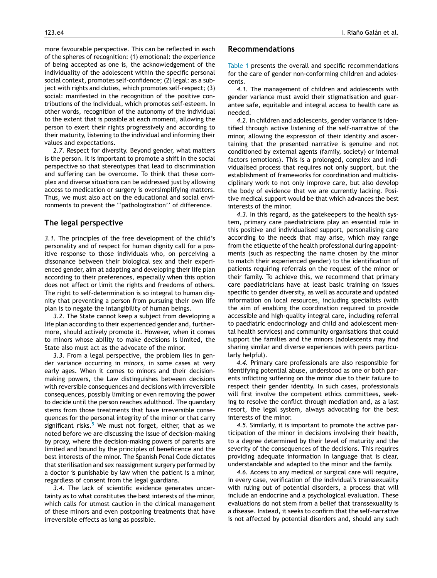more favourable perspective. This can be reflected in each of the spheres of recognition: (1) emotional: the experience of being accepted as one is, the acknowledgement of the individuality of the adolescent within the specific personal social context, promotes self-confidence; (2) legal: as a subject with rights and duties, which promotes self-respect; (3) social: manifested in the recognition of the positive contributions of the individual, which promotes self-esteem. In other words, recognition of the autonomy of the individual to the extent that is possible at each moment, allowing the person to exert their rights progressively and according to their maturity, listening to the individual and informing their values and expectations.

*2.7.* Respect for diversity. Beyond gender, what matters is the person. It is important to promote a shift in the social perspective so that stereotypes that lead to discrimination and suffering can be overcome. To think that these complex and diverse situations can be addressed just by allowing access to medication or surgery is oversimplifying matters. Thus, we must also act on the educational and social environments to prevent the ''pathologization'' of difference.

#### **The legal perspective**

*3.1.* The principles of the free development of the child's personality and of respect for human dignity call for a positive response to those individuals who, on perceiving a dissonance between their biological sex and their experienced gender, aim at adapting and developing their life plan according to their preferences, especially when this option does not affect or limit the rights and freedoms of others. The right to self-determination is so integral to human dignity that preventing a person from pursuing their own life plan is to negate the intangibility of human beings.

*3.2.* The State cannot keep a subject from developing a life plan according to their experienced gender and, furthermore, should actively promote it. However, when it comes to minors whose ability to make decisions is limited, the State also must act as the advocate of the minor.

*3.3.* From a legal perspective, the problem lies in gender variance occurring in *minors*, in some cases at very early ages. When it comes to minors and their decisionmaking powers, the Law distinguishes between decisions with reversible consequences and decisions with irreversible consequences, possibly limiting or even removing the power to decide until the person reaches adulthood. The quandary stems from those treatments that have irreversible consequences for the personal integrity of the minor or that carry significant risks.<sup>[5](#page-5-0)</sup> We must not forget, either, that as we noted before we are discussing the issue of decision-making by proxy, where the decision-making powers of parents are limited and bound by the principles of beneficence and the best interests of the minor. The Spanish Penal Code dictates that sterilisation and sex reassignment surgery performed by a doctor is punishable by law when the patient is a minor, regardless of consent from the legal guardians.

*3.4.* The lack of scientific evidence generates uncertainty as to what constitutes the best interests of the minor, which calls for utmost caution in the clinical management of these minors and even postponing treatments that have irreversible effects as long as possible.

#### **Recommendations**

[Table](#page-4-0) 1 presents the overall and specific recommendations for the care of gender non-conforming children and adolescents.

*4.1.* The management of children and adolescents with gender variance must avoid their stigmatisation and guarantee safe, equitable and integral access to health care as needed.

*4.2.* In children and adolescents, gender variance is identified through active listening of the self-narrative of the minor, allowing the expression of their identity and ascertaining that the presented narrative is genuine and not conditioned by external agents (family, society) or internal factors (emotions). This is a prolonged, complex and individualised process that requires not only support, but the establishment of frameworks for coordination and multidisciplinary work to not only improve care, but also develop the body of evidence that we are currently lacking. Positive medical support would be that which advances the best interests of the minor.

*4.3.* In this regard, as the gatekeepers to the health system, primary care paediatricians play an essential role in this positive and individualised support, personalising care according to the needs that may arise, which may range from the etiquette of the health professional during appointments (such as respecting the name chosen by the minor to match their experienced gender) to the identification of patients requiring referrals on the request of the minor or their family. To achieve this, we recommend that primary care paediatricians have at least basic training on issues specific to gender diversity, as well as accurate and updated information on local resources, including specialists (with the aim of enabling the coordination required to provide accessible and high-quality integral care, including referral to paediatric endocrinology and child and adolescent mental health services) and community organisations that could support the families and the minors (adolescents may find sharing similar and diverse experiences with peers particularly helpful).

*4.4.* Primary care professionals are also responsible for identifying potential abuse, understood as one or both parents inflicting suffering on the minor due to their failure to respect their gender identity. In such cases, professionals will first involve the competent ethics committees, seeking to resolve the conflict through mediation and, as a last resort, the legal system, always advocating for the best interests of the minor.

*4.5.* Similarly, it is important to promote the active participation of the minor in decisions involving their health, to a degree determined by their level of maturity and the severity of the consequences of the decisions. This requires providing adequate information in language that is clear, understandable and adapted to the minor and the family.

*4.6.* Access to any medical or surgical care will require, in every case, verification of the individual's transsexuality with ruling out of potential disorders, a process that will include an endocrine and a psychological evaluation. These evaluations do not stem from a belief that transsexuality is a disease. Instead, it seeks to confirm that the self-narrative is not affected by potential disorders and, should any such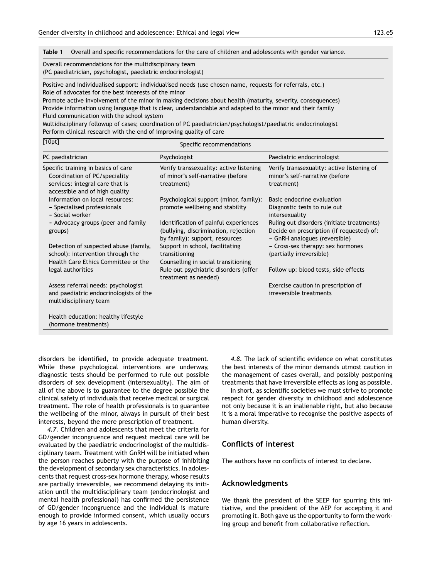#### <span id="page-4-0"></span>**Table 1** Overall and specific recommendations for the care of children and adolescents with gender variance.

Overall recommendations for the multidisciplinary team (PC paediatrician, psychologist, paediatric endocrinologist)

Positive and individualised support: individualised needs (use chosen name, requests for referrals, etc.) Role of advocates for the best interests of the minor

Promote active involvement of the minor in making decisions about health (maturity, severity, consequences) Provide information using language that is clear, understandable and adapted to the minor and their family Fluid communication with the school system

Multidisciplinary followup of cases; coordination of PC paediatrician/psychologist/paediatric endocrinologist Perform clinical research with the end of improving quality of care

| [10pt]<br>Specific recommendations                                                                                                        |                                                                                                                 |                                                                                                                          |
|-------------------------------------------------------------------------------------------------------------------------------------------|-----------------------------------------------------------------------------------------------------------------|--------------------------------------------------------------------------------------------------------------------------|
| PC paediatrician                                                                                                                          | Psychologist                                                                                                    | Paediatric endocrinologist                                                                                               |
| Specific training in basics of care<br>Coordination of PC/speciality<br>services: integral care that is<br>accessible and of high quality | Verify transsexuality: active listening<br>of minor's self-narrative (before<br>treatment)                      | Verify transsexuality: active listening of<br>minor's self-narrative (before<br>treatment)                               |
| Information on local resources:<br>- Specialised professionals<br>- Social worker                                                         | Psychological support (minor, family):<br>promote wellbeing and stability                                       | Basic endocrine evaluation<br>Diagnostic tests to rule out<br>intersexuality                                             |
| - Advocacy groups (peer and family<br>groups)                                                                                             | Identification of painful experiences<br>(bullying, discrimination, rejection<br>by family): support, resources | Ruling out disorders (initiate treatments)<br>Decide on prescription (if requested) of:<br>- GnRH analogues (reversible) |
| Detection of suspected abuse (family,<br>school): intervention through the<br>Health Care Ethics Committee or the                         | Support in school, facilitating<br>transitioning<br>Counselling in social transitioning                         | - Cross-sex therapy: sex hormones<br>(partially irreversible)                                                            |
| legal authorities                                                                                                                         | Rule out psychiatric disorders (offer<br>treatment as needed)                                                   | Follow up: blood tests, side effects                                                                                     |
| Assess referral needs: psychologist<br>and paediatric endocrinologists of the<br>multidisciplinary team                                   |                                                                                                                 | Exercise caution in prescription of<br>irreversible treatments                                                           |
| Health education: healthy lifestyle<br>(hormone treatments)                                                                               |                                                                                                                 |                                                                                                                          |

disorders be identified, to provide adequate treatment. While these psychological interventions are underway, diagnostic tests should be performed to rule out possible disorders of sex development (intersexuality). The aim of all of the above is to guarantee to the degree possible the clinical safety of individuals that receive medical or surgical treatment. The role of health professionals is to guarantee the wellbeing of the minor, always in pursuit of their best interests, beyond the mere prescription of treatment.

*4.7.* Children and adolescents that meet the criteria for GD/gender incongruence and request medical care will be evaluated by the paediatric endocrinologist of the multidisciplinary team. Treatment with GnRH will be initiated when the person reaches puberty with the purpose of inhibiting the development of secondary sex characteristics. In adolescents that request cross-sex hormone therapy, whose results are partially irreversible, we recommend delaying its initiation until the multidisciplinary team (endocrinologist and mental health professional) has confirmed the persistence of GD/gender incongruence and the individual is mature enough to provide informed consent, which usually occurs by age 16 years in adolescents.

*4.8*. The lack of scientific evidence on what constitutes the best interests of the minor demands utmost caution in the management of cases overall, and possibly postponing treatments that have irreversible effects as long as possible.

In short, as scientific societies we must strive to promote respect for gender diversity in childhood and adolescence not only because it is an inalienable right, but also because it is a moral imperative to recognise the positive aspects of human diversity.

## **Conflicts of interest**

The authors have no conflicts of interest to declare.

#### **Acknowledgments**

We thank the president of the SEEP for spurring this initiative, and the president of the AEP for accepting it and promoting it. Both gave us the opportunity to form the working group and benefit from collaborative reflection.